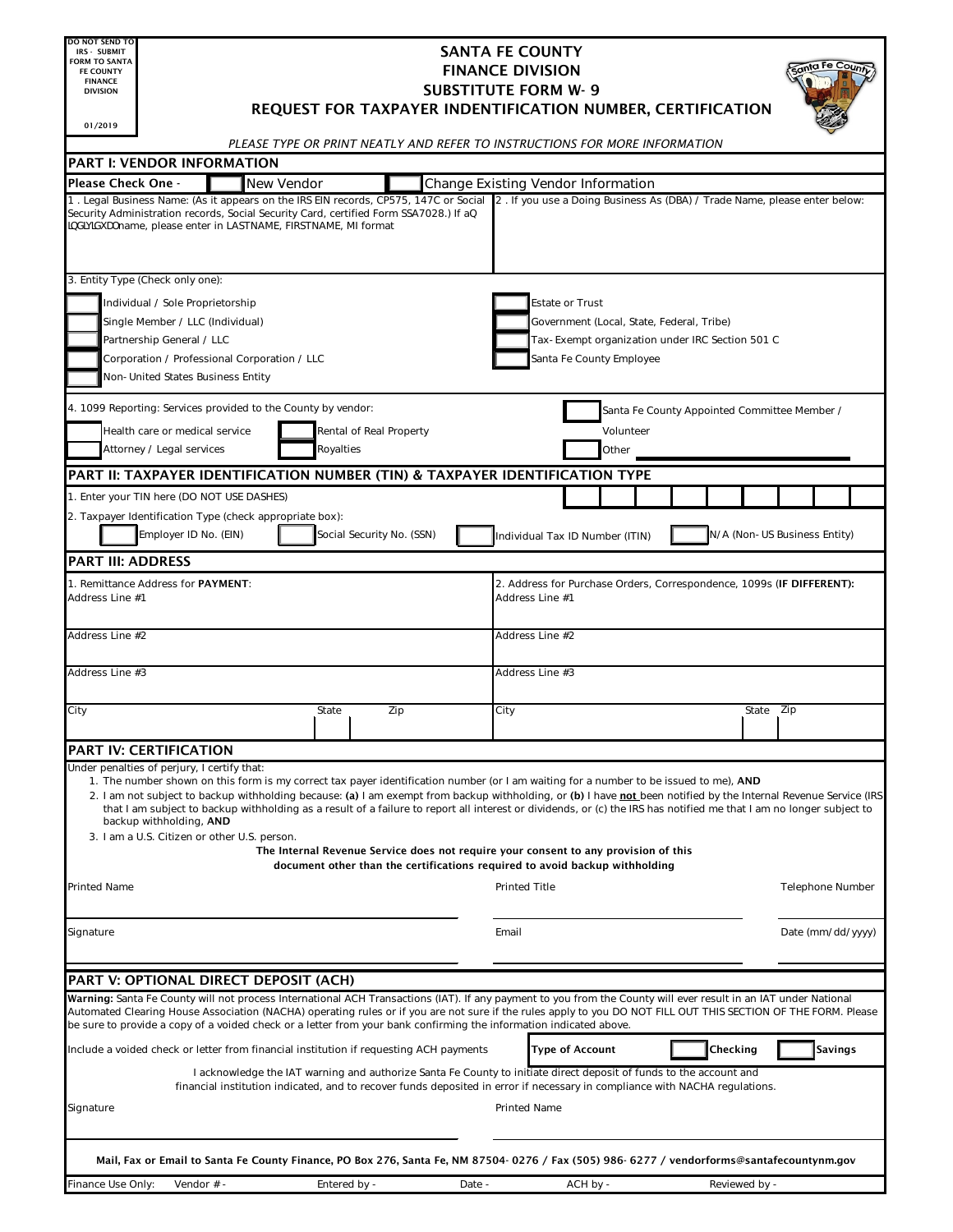| DO NOT SEND TO<br><b>IRS - SUBMIT</b>                                                               |                                                                                                                                                                                                                                                                                                                                                                                                                                                                                                                                                             |                                                                                                                                                                                                                                                   |                            |                                                                                                                                                                    | <b>SANTA FE COUNTY</b>             |                                                                             |          |  |          |               |                              |                   |  |
|-----------------------------------------------------------------------------------------------------|-------------------------------------------------------------------------------------------------------------------------------------------------------------------------------------------------------------------------------------------------------------------------------------------------------------------------------------------------------------------------------------------------------------------------------------------------------------------------------------------------------------------------------------------------------------|---------------------------------------------------------------------------------------------------------------------------------------------------------------------------------------------------------------------------------------------------|----------------------------|--------------------------------------------------------------------------------------------------------------------------------------------------------------------|------------------------------------|-----------------------------------------------------------------------------|----------|--|----------|---------------|------------------------------|-------------------|--|
| <b>FORM TO SANTA</b><br><b>FE COUNTY</b>                                                            |                                                                                                                                                                                                                                                                                                                                                                                                                                                                                                                                                             |                                                                                                                                                                                                                                                   |                            |                                                                                                                                                                    | <b>FINANCE DIVISION</b>            |                                                                             |          |  |          |               |                              |                   |  |
| <b>FINANCE</b><br><b>DIVISION</b>                                                                   |                                                                                                                                                                                                                                                                                                                                                                                                                                                                                                                                                             |                                                                                                                                                                                                                                                   | <b>SUBSTITUTE FORM W-9</b> |                                                                                                                                                                    |                                    |                                                                             |          |  |          |               |                              |                   |  |
|                                                                                                     | REQUEST FOR TAXPAYER INDENTIFICATION NUMBER, CERTIFICATION                                                                                                                                                                                                                                                                                                                                                                                                                                                                                                  |                                                                                                                                                                                                                                                   |                            |                                                                                                                                                                    |                                    |                                                                             |          |  |          |               |                              |                   |  |
| 01/2019                                                                                             |                                                                                                                                                                                                                                                                                                                                                                                                                                                                                                                                                             | PLEASE TYPE OR PRINT NEATLY AND REFER TO INSTRUCTIONS FOR MORE INFORMATION                                                                                                                                                                        |                            |                                                                                                                                                                    |                                    |                                                                             |          |  |          |               |                              |                   |  |
|                                                                                                     | <b>PART I: VENDOR INFORMATION</b>                                                                                                                                                                                                                                                                                                                                                                                                                                                                                                                           |                                                                                                                                                                                                                                                   |                            |                                                                                                                                                                    |                                    |                                                                             |          |  |          |               |                              |                   |  |
| Please Check One -                                                                                  |                                                                                                                                                                                                                                                                                                                                                                                                                                                                                                                                                             | <b>New Vendor</b>                                                                                                                                                                                                                                 |                            |                                                                                                                                                                    | Change Existing Vendor Information |                                                                             |          |  |          |               |                              |                   |  |
|                                                                                                     | 1. Legal Business Name: (As it appears on the IRS EIN records, CP575, 147C or Social<br>Security Administration records, Social Security Card, certified Form SSA7028.) If ab<br>JbX]j ]Xi U' name, please enter in LASTNAME, FIRSTNAME, MI format                                                                                                                                                                                                                                                                                                          |                                                                                                                                                                                                                                                   |                            |                                                                                                                                                                    |                                    | 2. If you use a Doing Business As (DBA) / Trade Name, please enter below:   |          |  |          |               |                              |                   |  |
|                                                                                                     | 3. Entity Type (Check only one):                                                                                                                                                                                                                                                                                                                                                                                                                                                                                                                            |                                                                                                                                                                                                                                                   |                            |                                                                                                                                                                    |                                    |                                                                             |          |  |          |               |                              |                   |  |
| Individual / Sole Proprietorship                                                                    |                                                                                                                                                                                                                                                                                                                                                                                                                                                                                                                                                             |                                                                                                                                                                                                                                                   |                            |                                                                                                                                                                    |                                    | <b>Estate or Trust</b>                                                      |          |  |          |               |                              |                   |  |
| Single Member / LLC (Individual)                                                                    |                                                                                                                                                                                                                                                                                                                                                                                                                                                                                                                                                             |                                                                                                                                                                                                                                                   |                            |                                                                                                                                                                    |                                    | Government (Local, State, Federal, Tribe)                                   |          |  |          |               |                              |                   |  |
| Partnership General / LLC<br>Corporation / Professional Corporation / LLC                           |                                                                                                                                                                                                                                                                                                                                                                                                                                                                                                                                                             |                                                                                                                                                                                                                                                   |                            |                                                                                                                                                                    |                                    | Tax-Exempt organization under IRC Section 501 C<br>Santa Fe County Employee |          |  |          |               |                              |                   |  |
|                                                                                                     | Non-United States Business Entity                                                                                                                                                                                                                                                                                                                                                                                                                                                                                                                           |                                                                                                                                                                                                                                                   |                            |                                                                                                                                                                    |                                    |                                                                             |          |  |          |               |                              |                   |  |
|                                                                                                     |                                                                                                                                                                                                                                                                                                                                                                                                                                                                                                                                                             |                                                                                                                                                                                                                                                   |                            |                                                                                                                                                                    |                                    |                                                                             |          |  |          |               |                              |                   |  |
| 4. 1099 Reporting: Services provided to the County by vendor:                                       |                                                                                                                                                                                                                                                                                                                                                                                                                                                                                                                                                             |                                                                                                                                                                                                                                                   |                            |                                                                                                                                                                    |                                    | Santa Fe County Appointed Committee Member /                                |          |  |          |               |                              |                   |  |
| Health care or medical service<br>Rental of Real Property<br>Attorney / Legal services<br>Royalties |                                                                                                                                                                                                                                                                                                                                                                                                                                                                                                                                                             |                                                                                                                                                                                                                                                   |                            |                                                                                                                                                                    |                                    | Volunteer<br>Other                                                          |          |  |          |               |                              |                   |  |
|                                                                                                     | PART II: TAXPAYER IDENTIFICATION NUMBER (TIN) & TAXPAYER IDENTIFICATION TYPE                                                                                                                                                                                                                                                                                                                                                                                                                                                                                |                                                                                                                                                                                                                                                   |                            |                                                                                                                                                                    |                                    |                                                                             |          |  |          |               |                              |                   |  |
|                                                                                                     | 1. Enter your TIN here (DO NOT USE DASHES)                                                                                                                                                                                                                                                                                                                                                                                                                                                                                                                  |                                                                                                                                                                                                                                                   |                            |                                                                                                                                                                    |                                    |                                                                             |          |  |          |               |                              |                   |  |
|                                                                                                     | 2. Taxpayer Identification Type (check appropriate box):                                                                                                                                                                                                                                                                                                                                                                                                                                                                                                    |                                                                                                                                                                                                                                                   |                            |                                                                                                                                                                    |                                    |                                                                             |          |  |          |               |                              |                   |  |
|                                                                                                     | Employer ID No. (EIN)                                                                                                                                                                                                                                                                                                                                                                                                                                                                                                                                       |                                                                                                                                                                                                                                                   |                            | Social Security No. (SSN)                                                                                                                                          |                                    | Individual Tax ID Number (ITIN)                                             |          |  |          |               | N/A (Non-US Business Entity) |                   |  |
| <b>PART III: ADDRESS</b>                                                                            |                                                                                                                                                                                                                                                                                                                                                                                                                                                                                                                                                             |                                                                                                                                                                                                                                                   |                            |                                                                                                                                                                    |                                    |                                                                             |          |  |          |               |                              |                   |  |
|                                                                                                     | 1. Remittance Address for PAYMENT:                                                                                                                                                                                                                                                                                                                                                                                                                                                                                                                          |                                                                                                                                                                                                                                                   |                            |                                                                                                                                                                    |                                    | 2. Address for Purchase Orders, Correspondence, 1099s (IF DIFFERENT):       |          |  |          |               |                              |                   |  |
| Address Line #1                                                                                     |                                                                                                                                                                                                                                                                                                                                                                                                                                                                                                                                                             |                                                                                                                                                                                                                                                   |                            |                                                                                                                                                                    |                                    | Address Line #1                                                             |          |  |          |               |                              |                   |  |
| Address Line #2                                                                                     |                                                                                                                                                                                                                                                                                                                                                                                                                                                                                                                                                             |                                                                                                                                                                                                                                                   |                            |                                                                                                                                                                    |                                    | Address Line #2                                                             |          |  |          |               |                              |                   |  |
| Address Line #3                                                                                     |                                                                                                                                                                                                                                                                                                                                                                                                                                                                                                                                                             |                                                                                                                                                                                                                                                   |                            |                                                                                                                                                                    |                                    | Address Line #3                                                             |          |  |          |               |                              |                   |  |
| City                                                                                                |                                                                                                                                                                                                                                                                                                                                                                                                                                                                                                                                                             |                                                                                                                                                                                                                                                   | State                      | Zip                                                                                                                                                                | City                               |                                                                             |          |  |          | State Zip     |                              |                   |  |
|                                                                                                     | <b>PART IV: CERTIFICATION</b>                                                                                                                                                                                                                                                                                                                                                                                                                                                                                                                               |                                                                                                                                                                                                                                                   |                            |                                                                                                                                                                    |                                    |                                                                             |          |  |          |               |                              |                   |  |
|                                                                                                     | Under penalties of perjury, I certify that:                                                                                                                                                                                                                                                                                                                                                                                                                                                                                                                 |                                                                                                                                                                                                                                                   |                            |                                                                                                                                                                    |                                    |                                                                             |          |  |          |               |                              |                   |  |
|                                                                                                     | 1. The number shown on this form is my correct tax payer identification number (or I am waiting for a number to be issued to me), AND<br>2. I am not subject to backup withholding because: (a) I am exempt from backup withholding, or (b) I have not been notified by the Internal Revenue Service (IRS<br>that I am subject to backup withholding as a result of a failure to report all interest or dividends, or (c) the IRS has notified me that I am no longer subject to<br>backup withholding, AND<br>3. I am a U.S. Citizen or other U.S. person. |                                                                                                                                                                                                                                                   |                            |                                                                                                                                                                    |                                    |                                                                             |          |  |          |               |                              |                   |  |
|                                                                                                     |                                                                                                                                                                                                                                                                                                                                                                                                                                                                                                                                                             |                                                                                                                                                                                                                                                   |                            | The Internal Revenue Service does not require your consent to any provision of this<br>document other than the certifications required to avoid backup withholding |                                    |                                                                             |          |  |          |               |                              |                   |  |
| Printed Name                                                                                        |                                                                                                                                                                                                                                                                                                                                                                                                                                                                                                                                                             |                                                                                                                                                                                                                                                   |                            |                                                                                                                                                                    |                                    | <b>Printed Title</b>                                                        |          |  |          |               |                              | Telephone Number  |  |
| Signature                                                                                           |                                                                                                                                                                                                                                                                                                                                                                                                                                                                                                                                                             |                                                                                                                                                                                                                                                   |                            |                                                                                                                                                                    | Email                              |                                                                             |          |  |          |               |                              | Date (mm/dd/yyyy) |  |
|                                                                                                     |                                                                                                                                                                                                                                                                                                                                                                                                                                                                                                                                                             |                                                                                                                                                                                                                                                   |                            |                                                                                                                                                                    |                                    |                                                                             |          |  |          |               |                              |                   |  |
|                                                                                                     | PART V: OPTIONAL DIRECT DEPOSIT (ACH)<br>Warning: Santa Fe County will not process International ACH Transactions (IAT). If any payment to you from the County will ever result in an IAT under National                                                                                                                                                                                                                                                                                                                                                    |                                                                                                                                                                                                                                                   |                            |                                                                                                                                                                    |                                    |                                                                             |          |  |          |               |                              |                   |  |
|                                                                                                     | Automated Clearing House Association (NACHA) operating rules or if you are not sure if the rules apply to you DO NOT FILL OUT THIS SECTION OF THE FORM. Please<br>be sure to provide a copy of a voided check or a letter from your bank confirming the information indicated above.                                                                                                                                                                                                                                                                        |                                                                                                                                                                                                                                                   |                            |                                                                                                                                                                    |                                    |                                                                             |          |  |          |               |                              |                   |  |
|                                                                                                     | Include a voided check or letter from financial institution if requesting ACH payments                                                                                                                                                                                                                                                                                                                                                                                                                                                                      |                                                                                                                                                                                                                                                   |                            |                                                                                                                                                                    |                                    | Type of Account                                                             |          |  | Checking |               |                              | <b>Savings</b>    |  |
|                                                                                                     |                                                                                                                                                                                                                                                                                                                                                                                                                                                                                                                                                             | I acknowledge the IAT warning and authorize Santa Fe County to initiate direct deposit of funds to the account and<br>financial institution indicated, and to recover funds deposited in error if necessary in compliance with NACHA regulations. |                            |                                                                                                                                                                    |                                    |                                                                             |          |  |          |               |                              |                   |  |
| Signature                                                                                           |                                                                                                                                                                                                                                                                                                                                                                                                                                                                                                                                                             |                                                                                                                                                                                                                                                   |                            |                                                                                                                                                                    |                                    | <b>Printed Name</b>                                                         |          |  |          |               |                              |                   |  |
|                                                                                                     | Mail, Fax or Email to Santa Fe County Finance, PO Box 276, Santa Fe, NM 87504-0276 / Fax (505) 986-6277 / vendorforms@santafecountynm.gov                                                                                                                                                                                                                                                                                                                                                                                                                   |                                                                                                                                                                                                                                                   |                            |                                                                                                                                                                    |                                    |                                                                             |          |  |          |               |                              |                   |  |
| Finance Use Only:                                                                                   | Vendor # -                                                                                                                                                                                                                                                                                                                                                                                                                                                                                                                                                  |                                                                                                                                                                                                                                                   | Entered by -               |                                                                                                                                                                    | Date -                             |                                                                             | ACH by - |  |          | Reviewed by - |                              |                   |  |